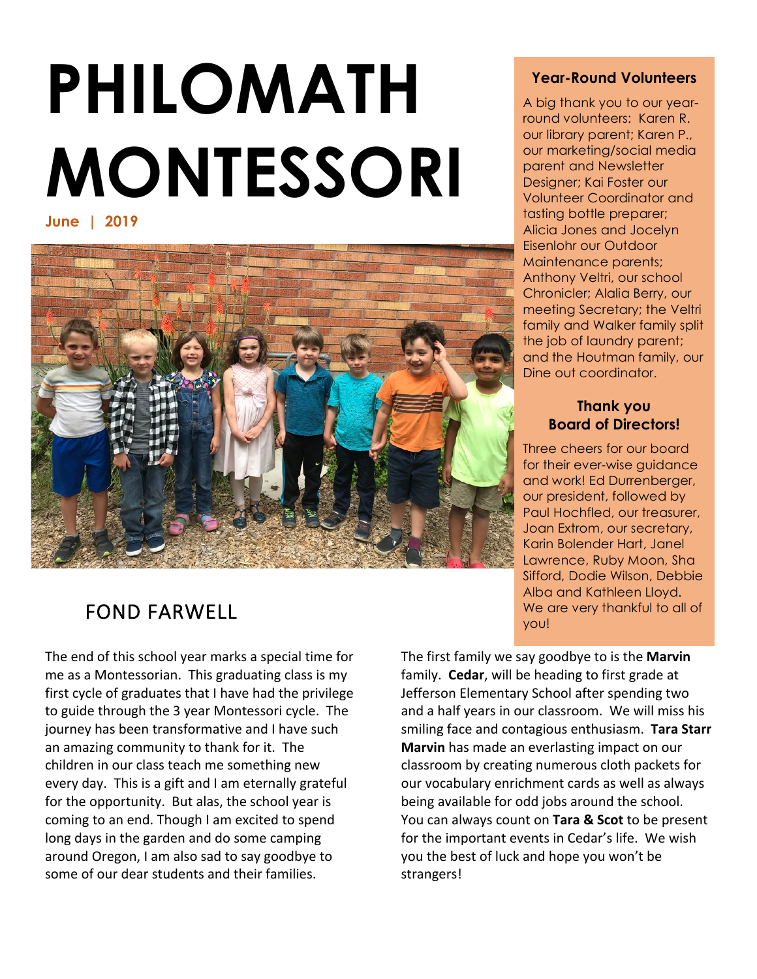# **PHILOMATH MONTESSORI**

**June | 2019** 



# FOND FARWELL

The end of this school year marks a special time for me as a Montessorian. This graduating class is my first cycle of graduates that I have had the privilege to guide through the 3 year Montessori cycle. The journey has been transformative and I have such an amazing community to thank for it. The children in our class teach me something new every day. This is a gift and I am eternally grateful for the opportunity. But alas, the school year is coming to an end. Though I am excited to spend long days in the garden and do some camping around Oregon, I am also sad to say goodbye to some of our dear students and their families.

# **Year-Round Volunteers**

A big thank you to our yearround volunteers: Karen R. our library parent; Karen P., our marketing/social media parent and Newsletter Designer; Kai Foster our Volunteer Coordinator and tasting bottle preparer; Alicia Jones and Jocelyn Eisenlohr our Outdoor Maintenance parents; Anthony Veltri, our school Chronicler; Alalia Berry, our meeting Secretary; the Veltri family and Walker family split the job of laundry parent; and the Houtman family, our Dine out coordinator.

# **Thank you Board of Directors!**

Three cheers for our board for their ever-wise guidance and work! Ed Durrenberger, our president, followed by Paul Hochfled, our treasurer, Joan Extrom, our secretary, Karin Bolender Hart, Janel Lawrence, Ruby Moon, Sha Sifford, Dodie Wilson, Debbie Alba and Kathleen Lloyd. We are very thankful to all of you!

The first family we say goodbye to is the **Marvin** family. **Cedar**, will be heading to first grade at Jefferson Elementary School after spending two and a half years in our classroom. We will miss his smiling face and contagious enthusiasm. Tara Starr **Marvin** has made an everlasting impact on our classroom by creating numerous cloth packets for our vocabulary enrichment cards as well as always being available for odd jobs around the school. You can always count on **Tara & Scot** to be present for the important events in Cedar's life. We wish you the best of luck and hope you won't be strangers!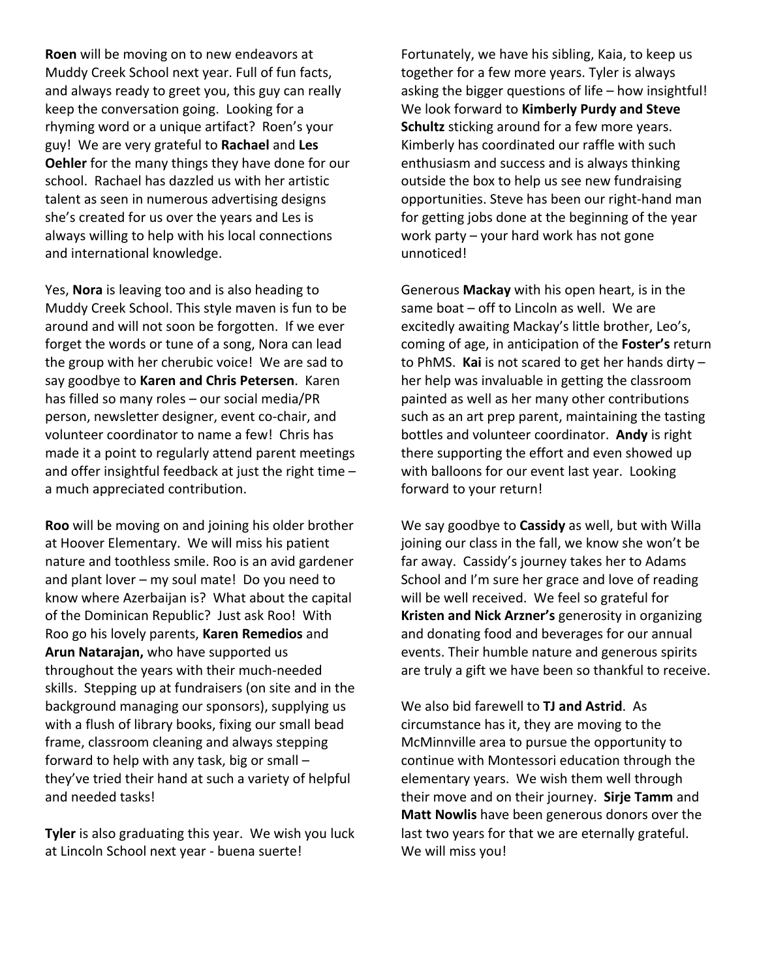**Roen** will be moving on to new endeavors at Muddy Creek School next year. Full of fun facts, and always ready to greet you, this guy can really keep the conversation going. Looking for a rhyming word or a unique artifact? Roen's your guy! We are very grateful to Rachael and Les **Oehler** for the many things they have done for our school. Rachael has dazzled us with her artistic talent as seen in numerous advertising designs she's created for us over the years and Les is always willing to help with his local connections and international knowledge.

Yes, **Nora** is leaving too and is also heading to Muddy Creek School. This style maven is fun to be around and will not soon be forgotten. If we ever forget the words or tune of a song, Nora can lead the group with her cherubic voice! We are sad to say goodbye to Karen and Chris Petersen. Karen has filled so many roles  $-$  our social media/PR person, newsletter designer, event co-chair, and volunteer coordinator to name a few! Chris has made it a point to regularly attend parent meetings and offer insightful feedback at just the right time  $$ a much appreciated contribution.

**Roo** will be moving on and joining his older brother at Hoover Elementary. We will miss his patient nature and toothless smile. Roo is an avid gardener and plant lover  $-$  my soul mate! Do you need to know where Azerbaijan is? What about the capital of the Dominican Republic? Just ask Roo! With Roo go his lovely parents, **Karen Remedios** and Arun Natarajan, who have supported us throughout the years with their much-needed skills. Stepping up at fundraisers (on site and in the background managing our sponsors), supplying us with a flush of library books, fixing our small bead frame, classroom cleaning and always stepping forward to help with any task, big or small  $$ they've tried their hand at such a variety of helpful and needed tasks!

**Tyler** is also graduating this year. We wish you luck at Lincoln School next year - buena suerte!

Fortunately, we have his sibling, Kaia, to keep us together for a few more years. Tyler is always asking the bigger questions of life  $-$  how insightful! We look forward to **Kimberly Purdy and Steve Schultz** sticking around for a few more years. Kimberly has coordinated our raffle with such enthusiasm and success and is always thinking outside the box to help us see new fundraising opportunities. Steve has been our right-hand man for getting jobs done at the beginning of the year work party  $-$  your hard work has not gone unnoticed!

Generous **Mackay** with his open heart, is in the same boat  $-$  off to Lincoln as well. We are excitedly awaiting Mackay's little brother, Leo's, coming of age, in anticipation of the **Foster's** return to PhMS. **Kai** is not scared to get her hands dirty  $$ her help was invaluable in getting the classroom painted as well as her many other contributions such as an art prep parent, maintaining the tasting bottles and volunteer coordinator. Andy is right there supporting the effort and even showed up with balloons for our event last year. Looking forward to your return!

We say goodbye to **Cassidy** as well, but with Willa joining our class in the fall, we know she won't be far away. Cassidy's journey takes her to Adams School and I'm sure her grace and love of reading will be well received. We feel so grateful for **Kristen and Nick Arzner's** generosity in organizing and donating food and beverages for our annual events. Their humble nature and generous spirits are truly a gift we have been so thankful to receive.

We also bid farewell to **TJ and Astrid**. As circumstance has it, they are moving to the McMinnville area to pursue the opportunity to continue with Montessori education through the elementary years. We wish them well through their move and on their journey. Sirje Tamm and **Matt Nowlis** have been generous donors over the last two years for that we are eternally grateful. We will miss you!